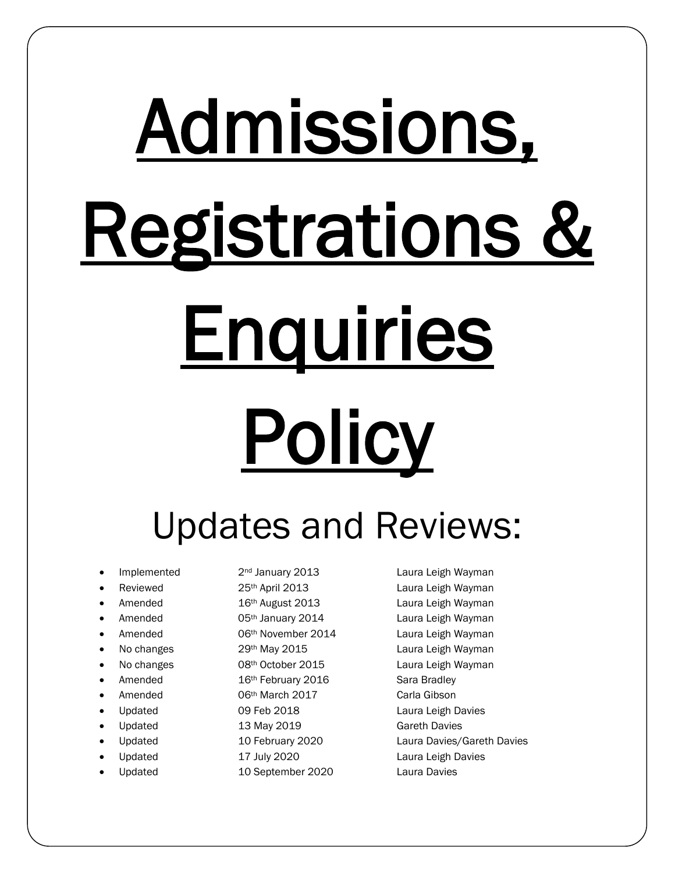# Admissions, Registrations & **Enquiries Policy**

## Updates and Reviews:

- 
- 
- 
- 
- 
- 
- 
- 
- 
- 
- 
- 
- 
- 
- 

Amended 16<sup>th</sup> February 2016 Sara Bradley • Amended 06th March 2017 Carla Gibson Updated **09 Feb 2018** Laura Leigh Davies Updated 13 May 2019 Gareth Davies

- 
- Updated 10 September 2020 Laura Davies

Implemented 2<sup>nd</sup> January 2013 Laura Leigh Wayman Reviewed 25<sup>th</sup> April 2013 Laura Leigh Wayman Amended 16<sup>th</sup> August 2013 Laura Leigh Wayman Amended **1988 120 and 130 and 130 and 130 and 130 and 130 and 140 and 140 and 140 and 140 and 140 and 140 and 140 and 140 and 140 and 140 and 140 and 140 and 140 and 140 and 140 and 140 and 140 and 140 and 140 and 140 an** Amended **600 O6th November 2014** Laura Leigh Wayman No changes 29<sup>th</sup> May 2015 Laura Leigh Wayman No changes **68th October 2015** Laura Leigh Wayman • Updated 10 February 2020 Laura Davies/Gareth Davies Updated 17 July 2020 Laura Leigh Davies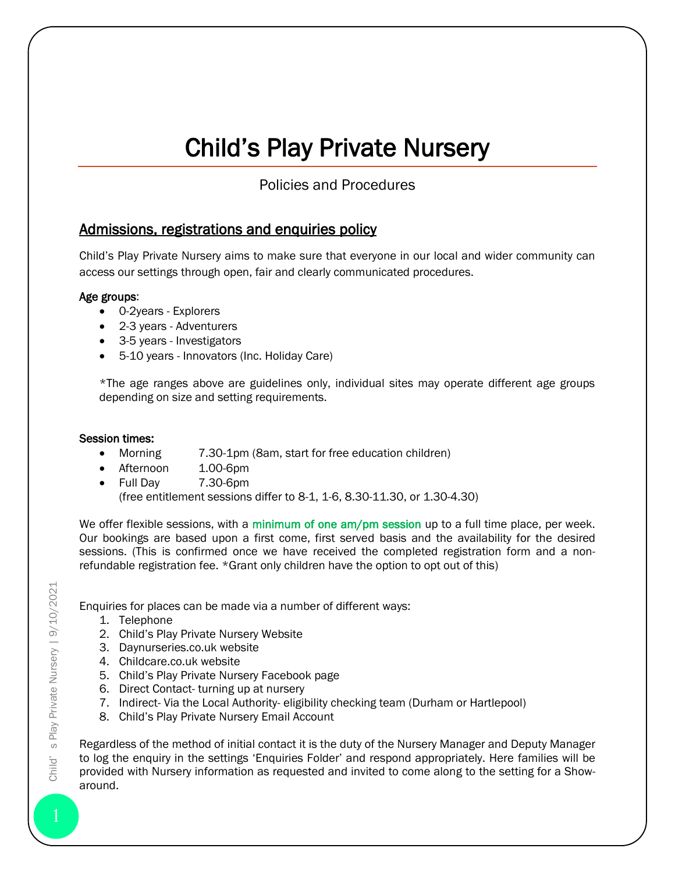### Child's Play Private Nursery

Policies and Procedures

#### Admissions, registrations and enquiries policy

Child's Play Private Nursery aims to make sure that everyone in our local and wider community can access our settings through open, fair and clearly communicated procedures.

#### Age groups:

- 0-2years Explorers
- 2-3 years Adventurers
- 3-5 years Investigators
- 5-10 years Innovators (Inc. Holiday Care)

\*The age ranges above are guidelines only, individual sites may operate different age groups depending on size and setting requirements.

#### Session times:

- Morning 7.30-1pm (8am, start for free education children)
- Afternoon 1.00-6pm
- Full Dav 7.30-6pm

(free entitlement sessions differ to 8-1, 1-6, 8.30-11.30, or 1.30-4.30)

We offer flexible sessions, with a minimum of one am/pm session up to a full time place, per week. Our bookings are based upon a first come, first served basis and the availability for the desired sessions. (This is confirmed once we have received the completed registration form and a nonrefundable registration fee. \*Grant only children have the option to opt out of this)

Enquiries for places can be made via a number of different ways:

- 1. Telephone
- 2. Child's Play Private Nursery Website
- 3. Daynurseries.co.uk website
- 4. Childcare.co.uk website
- 5. Child's Play Private Nursery Facebook page
- 6. Direct Contact- turning up at nursery
- 7. Indirect- Via the Local Authority- eligibility checking team (Durham or Hartlepool)
- 8. Child's Play Private Nursery Email Account

Regardless of the method of initial contact it is the duty of the Nursery Manager and Deputy Manager to log the enquiry in the settings 'Enquiries Folder' and respond appropriately. Here families will be provided with Nursery information as requested and invited to come along to the setting for a Showaround.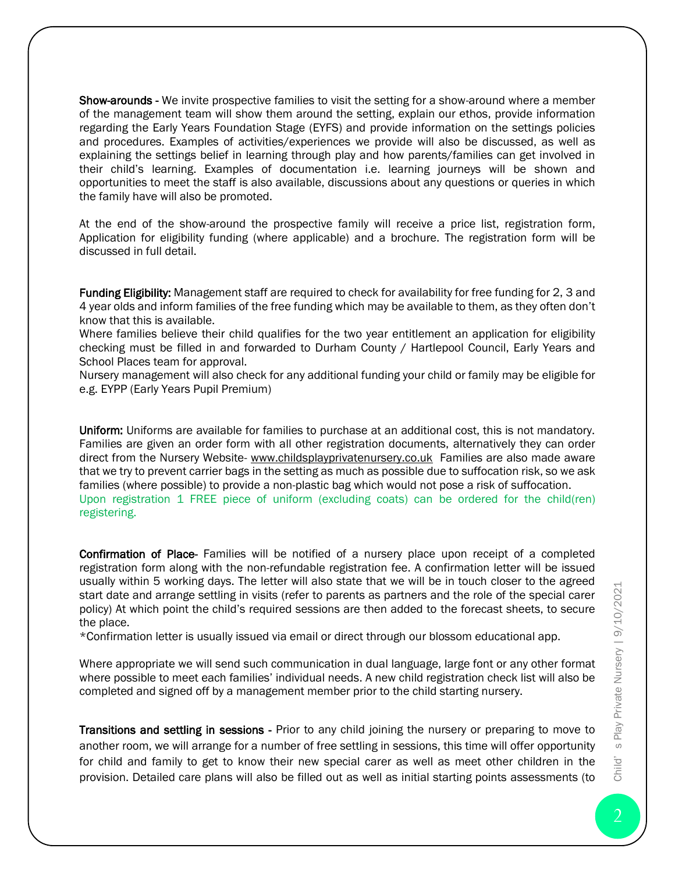Show-arounds - We invite prospective families to visit the setting for a show-around where a member of the management team will show them around the setting, explain our ethos, provide information regarding the Early Years Foundation Stage (EYFS) and provide information on the settings policies and procedures. Examples of activities/experiences we provide will also be discussed, as well as explaining the settings belief in learning through play and how parents/families can get involved in their child's learning. Examples of documentation i.e. learning journeys will be shown and opportunities to meet the staff is also available, discussions about any questions or queries in which the family have will also be promoted.

At the end of the show-around the prospective family will receive a price list, registration form, Application for eligibility funding (where applicable) and a brochure. The registration form will be discussed in full detail.

Funding Eligibility: Management staff are required to check for availability for free funding for 2, 3 and 4 year olds and inform families of the free funding which may be available to them, as they often don't know that this is available.

Where families believe their child qualifies for the two year entitlement an application for eligibility checking must be filled in and forwarded to Durham County / Hartlepool Council, Early Years and School Places team for approval.

Nursery management will also check for any additional funding your child or family may be eligible for e.g. EYPP (Early Years Pupil Premium)

Uniform: Uniforms are available for families to purchase at an additional cost, this is not mandatory. Families are given an order form with all other registration documents, alternatively they can order direct from the Nursery Website- [www.childsplayprivatenursery.co.uk](http://www.childsplayprivatenursery.co.uk/) Families are also made aware that we try to prevent carrier bags in the setting as much as possible due to suffocation risk, so we ask families (where possible) to provide a non-plastic bag which would not pose a risk of suffocation. Upon registration 1 FREE piece of uniform (excluding coats) can be ordered for the child(ren) registering.

Confirmation of Place- Families will be notified of a nursery place upon receipt of a completed registration form along with the non-refundable registration fee. A confirmation letter will be issued usually within 5 working days. The letter will also state that we will be in touch closer to the agreed start date and arrange settling in visits (refer to parents as partners and the role of the special carer policy) At which point the child's required sessions are then added to the forecast sheets, to secure the place.

\*Confirmation letter is usually issued via email or direct through our blossom educational app.

Where appropriate we will send such communication in dual language, large font or any other format where possible to meet each families' individual needs. A new child registration check list will also be completed and signed off by a management member prior to the child starting nursery.

Transitions and settling in sessions - Prior to any child joining the nursery or preparing to move to another room, we will arrange for a number of free settling in sessions, this time will offer opportunity for child and family to get to know their new special carer as well as meet other children in the provision. Detailed care plans will also be filled out as well as initial starting points assessments (to